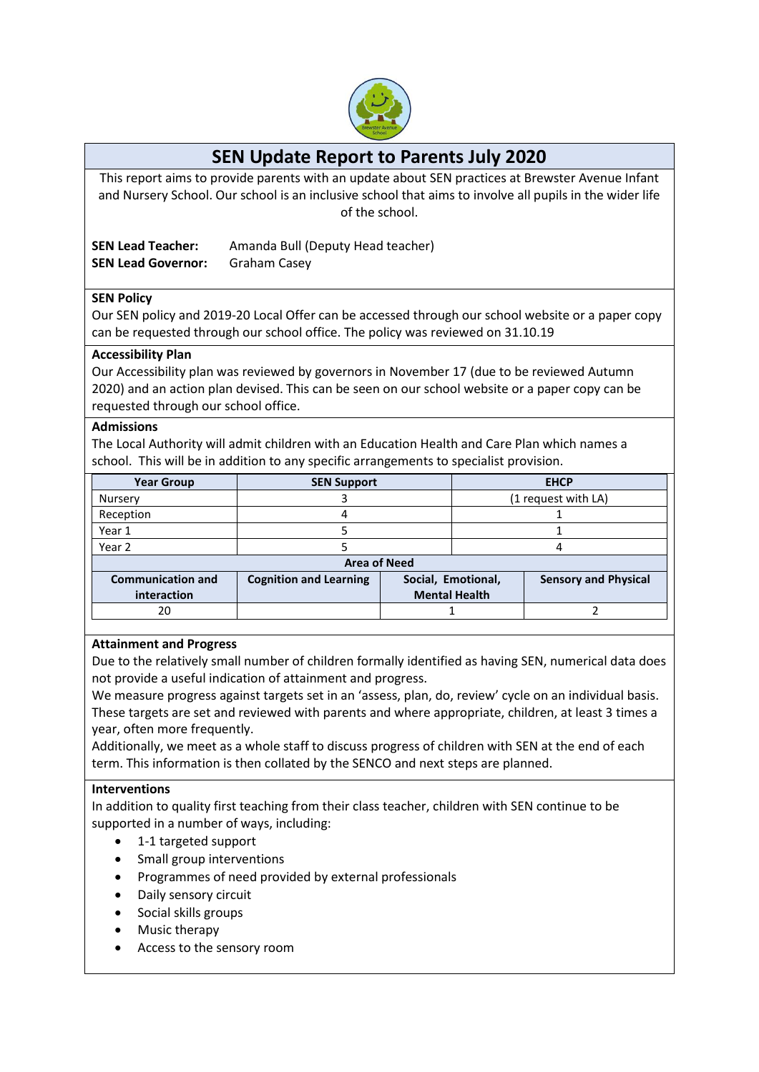

# **SEN Update Report to Parents July 2020**

This report aims to provide parents with an update about SEN practices at Brewster Avenue Infant and Nursery School. Our school is an inclusive school that aims to involve all pupils in the wider life of the school.

**SEN Lead Teacher:** Amanda Bull (Deputy Head teacher) **SEN Lead Governor:** Graham Casey

# **SEN Policy**

Our SEN policy and 2019-20 Local Offer can be accessed through our school website or a paper copy can be requested through our school office. The policy was reviewed on 31.10.19

# **Accessibility Plan**

Our Accessibility plan was reviewed by governors in November 17 (due to be reviewed Autumn 2020) and an action plan devised. This can be seen on our school website or a paper copy can be requested through our school office.

# **Admissions**

The Local Authority will admit children with an Education Health and Care Plan which names a school. This will be in addition to any specific arrangements to specialist provision.

| <b>SEN Support</b>            |                    | <b>EHCP</b>         |                             |  |
|-------------------------------|--------------------|---------------------|-----------------------------|--|
|                               |                    | (1 request with LA) |                             |  |
|                               |                    |                     |                             |  |
|                               |                    |                     |                             |  |
|                               |                    |                     |                             |  |
| <b>Area of Need</b>           |                    |                     |                             |  |
| <b>Cognition and Learning</b> | Social, Emotional, |                     | <b>Sensory and Physical</b> |  |
|                               |                    |                     |                             |  |
|                               |                    |                     |                             |  |
|                               |                    |                     | <b>Mental Health</b>        |  |

# **Attainment and Progress**

Due to the relatively small number of children formally identified as having SEN, numerical data does not provide a useful indication of attainment and progress.

We measure progress against targets set in an 'assess, plan, do, review' cycle on an individual basis. These targets are set and reviewed with parents and where appropriate, children, at least 3 times a year, often more frequently.

Additionally, we meet as a whole staff to discuss progress of children with SEN at the end of each term. This information is then collated by the SENCO and next steps are planned.

# **Interventions**

In addition to quality first teaching from their class teacher, children with SEN continue to be supported in a number of ways, including:

- 1-1 targeted support
- Small group interventions
- Programmes of need provided by external professionals
- Daily sensory circuit
- Social skills groups
- Music therapy
- Access to the sensory room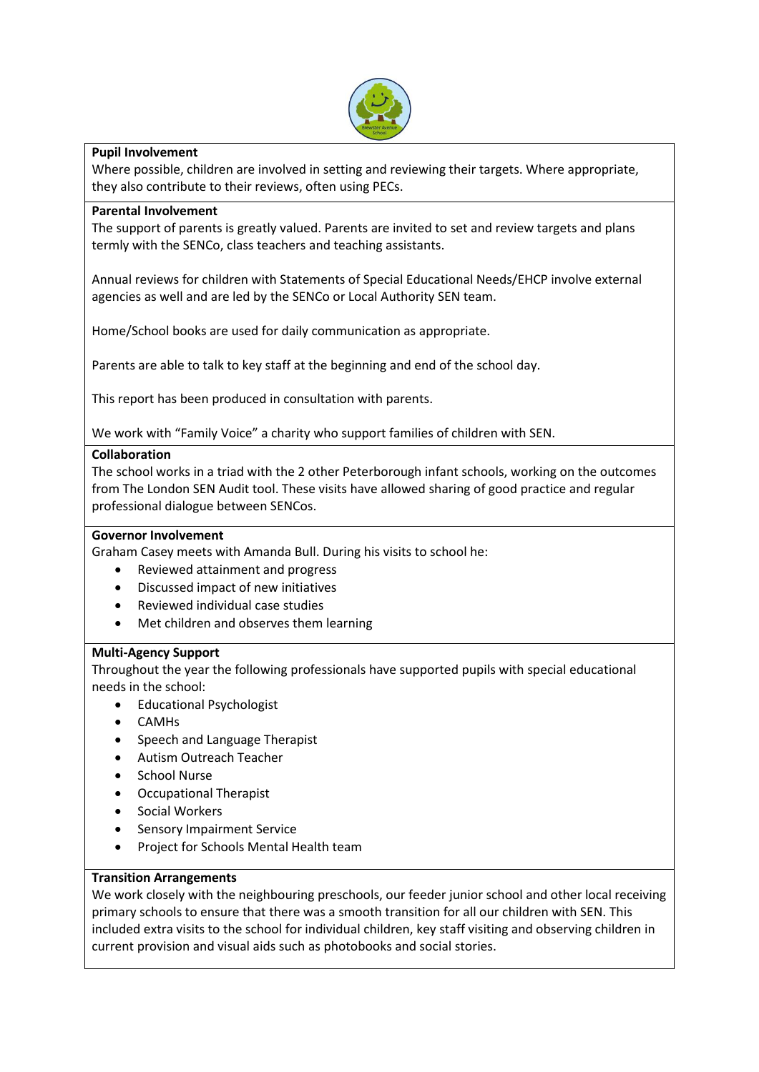

# **Pupil Involvement**

Where possible, children are involved in setting and reviewing their targets. Where appropriate, they also contribute to their reviews, often using PECs.

# **Parental Involvement**

The support of parents is greatly valued. Parents are invited to set and review targets and plans termly with the SENCo, class teachers and teaching assistants.

Annual reviews for children with Statements of Special Educational Needs/EHCP involve external agencies as well and are led by the SENCo or Local Authority SEN team.

Home/School books are used for daily communication as appropriate.

Parents are able to talk to key staff at the beginning and end of the school day.

This report has been produced in consultation with parents.

We work with "Family Voice" a charity who support families of children with SEN.

# **Collaboration**

The school works in a triad with the 2 other Peterborough infant schools, working on the outcomes from The London SEN Audit tool. These visits have allowed sharing of good practice and regular professional dialogue between SENCos.

#### **Governor Involvement**

Graham Casey meets with Amanda Bull. During his visits to school he:

- Reviewed attainment and progress
- Discussed impact of new initiatives
- Reviewed individual case studies
- Met children and observes them learning

# **Multi-Agency Support**

Throughout the year the following professionals have supported pupils with special educational needs in the school:

- **•** Educational Psychologist
- CAMHs
- Speech and Language Therapist
- Autism Outreach Teacher
- School Nurse
- Occupational Therapist
- Social Workers
- Sensory Impairment Service
- Project for Schools Mental Health team

# **Transition Arrangements**

We work closely with the neighbouring preschools, our feeder junior school and other local receiving primary schools to ensure that there was a smooth transition for all our children with SEN. This included extra visits to the school for individual children, key staff visiting and observing children in current provision and visual aids such as photobooks and social stories.